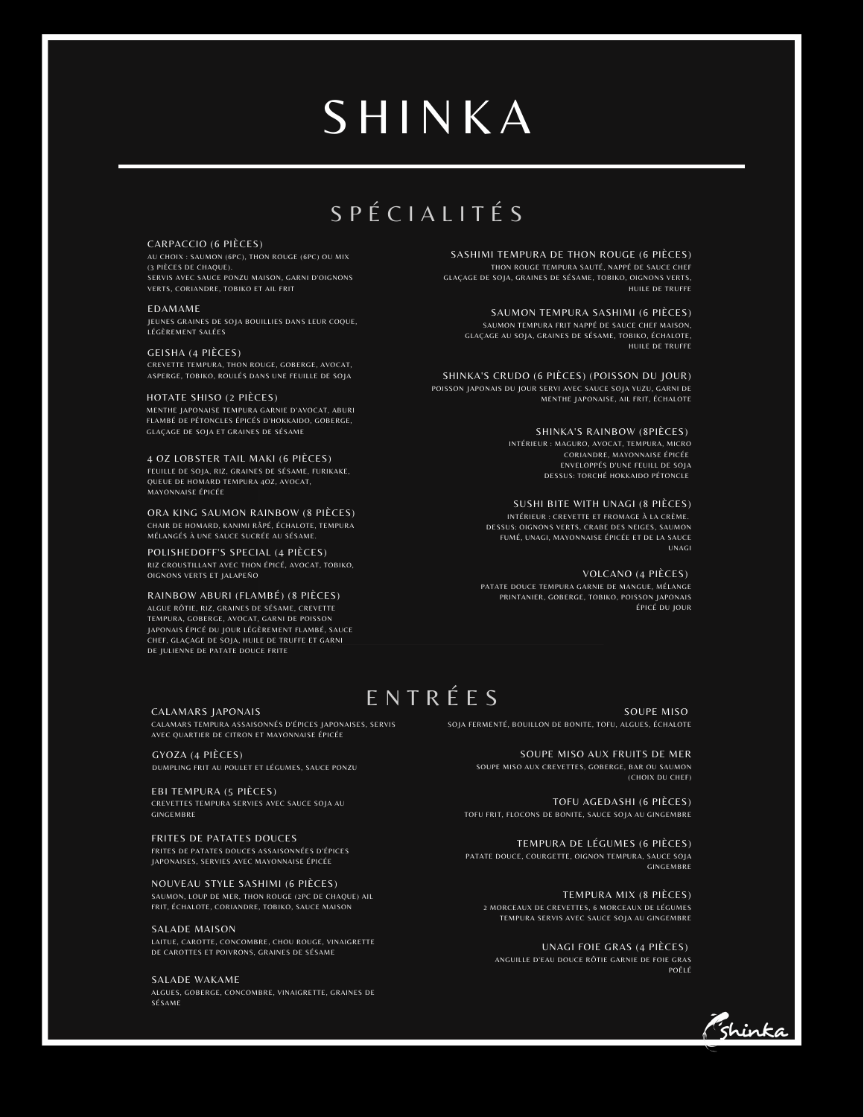## **SHINKA**

## S P É C I A L I T É S

#### CARPACCIO (6 PIÈCES)

AU CHOIX : SAUMON (6PC), THON ROUGE (6PC) OU MIX (3 PIÈCES DE CHAQUE). SERVIS AVEC SAUCE PONZU MAISON, GARNI D'OIGNONS VERTS, CORIANDRE, TOBIKO ET AIL FRIT

#### EDAMAME

JEUNES GRAINES DE SOJA BOUILLIES DANS LEUR COQUE, .<br>LÉGÈREMENT SALÉES

#### GEISHA (4 PIÈCES)

CREVETTE TEMPURA, THON ROUGE, GOBERGE, AVOCAT, ASPERGE, TOBIKO, ROULÉS DANS UNE FEUILLE DE SOJA

#### HOTATE SHISO (2 PIÈCES)

MENTHE JAPONAISE TEMPURA GARNIE D'AVOCAT, ABURI FLAMBÉ DE PÉTONCLES ÉPICÉS D'HOKKAIDO, GOBERGE, GLAÇAGE DE SOJA ET GRAINES DE SÉSAME

#### 4 OZ LOBSTER TAIL MAKI (6 PIÈCES)

FEUILLE DE SOJA, RIZ, GRAINES DE SÉSAME, FURIKAKE, QUEUE DE HOMARD TEMPURA 4OZ, AVOCAT, .<br>MAYONNAISE ÉPICÉE

ORA KING SAUMON RAINBOW (8 PIÈCES) CHAIR DE HOMARD, KANIMI RÂPÉ, ÉCHALOTE, TEMPURA MÉLANGÉS À UNE SAUCE SUCRÉE AU SÉSAME.

POLISHEDOFF'S SPECIAL (4 PIÈCES) RIZ CROUSTILLANT AVEC THON ÉPICÉ, AVOCAT, TOBIKO, OIGNONS VERTS ET JALAPEÑO

#### RAINBOW ABURI (FLAMBÉ) (8 PIÈCES)

ALGUE RÔTIE, RIZ, GRAINES DE SÉSAME, CREVETTE TEMPURA, GOBERGE, AVOCAT, GARNI DE POISSON JAPONAIS ÉPICÉ DU JOUR LÉGÈREMENT FLAMBÉ, SAUCE CHEF, GLAÇAGE DE SOJA, HUILE DE TRUFFE ET GARNI DE JULIENNE DE PATATE DOUCE FRITE

SASHIMI TEMPURA DE THON ROUGE (6 PIÈCES) THON ROUGE TEMPURA SAUTÉ, NAPPÉ DE SAUCE CHEF GLAÇAGE DE SOJA, GRAINES DE SÉSAME, TOBIKO, OIGNONS VERTS, HUILE DE TRUFFE

SAUMON TEMPURA SASHIMI (6 PIÈCES) SAUMON TEMPURA FRIT NAPPÉ DE SAUCE CHEF MAISON, GLAÇAGE AU SOJA, GRAINES DE SÉSAME, TOBIKO, ÉCHALOTE, HUILE DE TRUFFE

SHINKA'S CRUDO (6 PIÈCES) (POISSON DU JOUR) POISSON JAPONAIS DU JOUR SERVI AVEC SAUCE SOJA YUZU, GARNI DE MENTHE JAPONAISE, AIL FRIT, ÉCHALOTE

#### SHINKA'S RAINBOW (8PIÈCES)

INTÉRIEUR : MAGURO, AVOCAT, TEMPURA, MICRO CORIANDRE, MAYONNAISE ÉPICÉE ENVELOPPÉS D'UNE FEUILL DE SOJA DESSUS: TORCHÉ HOKKAIDO PÉTONCLE

SUSHI BITE WITH UNAGI (8 PIÈCES) INTÉRIEUR : CREVETTE ET FROMAGE À LA CRÈME. DESSUS: OIGNONS VERTS, CRABE DES NEIGES, SAUMON FUMÉ, UNAGI, MAYONNAISE ÉPICÉE ET DE LA SAUCE UNAGI

VOLCANO (4 PIÈCES)

PATATE DOUCE TEMPURA GARNIE DE MANGUE, MÉLANGE PRINTANIER, GOBERGE, TOBIKO, POISSON JAPONAIS ÉPICÉ DU JOUR

## E N T R É E S

CALAMARS JAPONAIS CALAMARS TEMPURA ASSAISONNÉS D'ÉPICES JAPONAISES, SERVIS AVEC QUARTIER DE CITRON ET MAYONNAISE ÉPICÉE

GYOZA (4 PIÈCES) DUMPLING FRIT AU POULET ET LÉGUMES, SAUCE PONZU

EBI TEMPURA (5 PIÈCES) CREVETTES TEMPURA SERVIES AVEC SAUCE SOJA AU **GINGEMBRE** 

FRITES DE PATATES DOUCES FRITES DE PATATES DOUCES ASSAISONNÉES D'ÉPICES JAPONAISES, SERVIES AVEC MAYONNAISE ÉPICÉE

NOUVEAU STYLE SASHIMI (6 PIÈCES) SAUMON, LOUP DE MER, THON ROUGE (2PC DE CHAQUE) AIL FRIT, ÉCHALOTE, CORIANDRE, TOBIKO, SAUCE MAISON

#### SALADE MAISON

LAITUE, CAROTTE, CONCOMBRE, CHOU ROUGE, VINAIGRETTE DE CAROTTES ET POIVRONS, GRAINES DE SÉSAME

#### SALADE WAKAME

ALGUES, GOBERGE, CONCOMBRE, VINAIGRETTE, GRAINES DE SÉSAME

SOUPE MISO SOJA FERMENTÉ, BOUILLON DE BONITE, TOFU, ALGUES, ÉCHALOTE

> SOUPE MISO AUX FRUITS DE MER SOUPE MISO AUX CREVETTES, GOBERGE, BAR OU SAUMON (CHOIX DU CHEF)

TOFU AGEDASHI (6 PIÈCES) TOFU FRIT, FLOCONS DE BONITE, SAUCE SOJA AU GINGEMBRE

TEMPURA DE LÉGUMES (6 PIÈCES) PATATE DOUCE, COURGETTE, OIGNON TEMPURA, SAUCE SOJA **GINGEMBRE** 

TEMPURA MIX (8 PIÈCES) 2 MORCEAUX DE CREVETTES, 6 MORCEAUX DE LÉGUMES TEMPURA SERVIS AVEC SAUCE SOJA AU GINGEMBRE

UNAGI FOIE GRAS (4 PIÈCES) ANGUILLE D'EAU DOUCE RÔTIE GARNIE DE FOIE GRAS POÊLÉ

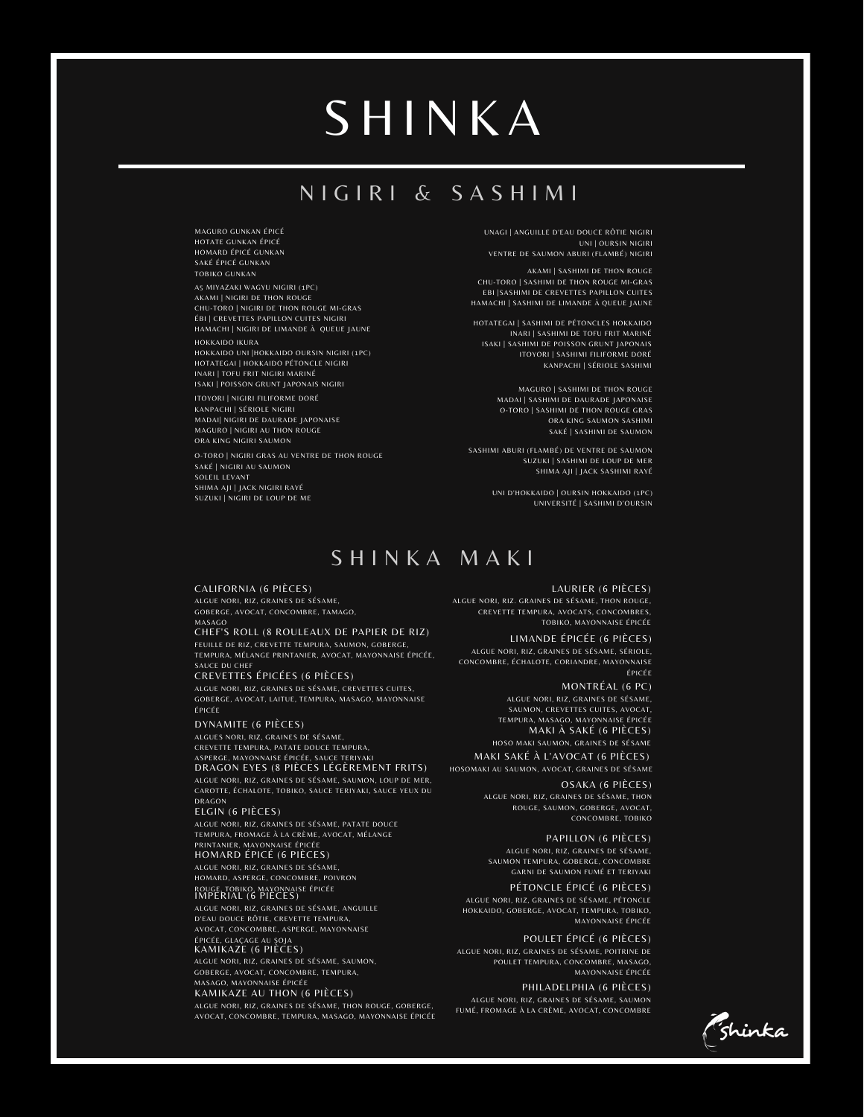# **SHINKA**

## N I G I R I & S A S H I M I

UNAGI | ANGUILLE D'EAU DOUCE RÔTIE NIGIRI UNI | OURSIN NIGIRI VENTRE DE SAUMON ABURI (FLAMBÉ) NIGIRI

TOBIKO GUNKAN AKAMI | SASHIMI DE THON ROUGE | SASHIMI DE THON ROUGE | SASHIMI DE THON ROUGE | SASHIMI DE THON ROUGE CHU-TORO |SASHIMI DE THON ROUGE MI-GRAS EBI |SASHIMI DE CREVETTES PAPILLON CUITES HAMACHI | SASHIMI DE LIMANDE À QUEUE JAUNE

> HOTATEGAI | SASHIMI DE PÉTONCLES HOKKAIDO INARI | SASHIMI DE TOFU FRIT MARINÉ ISAKI | SASHIMI DE POISSON GRUNT JAPONAIS ITOYORI | SASHIMI FILIFORME DORÉ KANPACHI | SÉRIOLE SASHIMI

> > MAGURO | SASHIMI DE THON ROUGE MADAI | SASHIMI DE DAURADE JAPONAISE O-TORO | SASHIMI DE THON ROUGE GRAS ORA KING SAUMON SASHIMI SAKÉ | SASHIMI DE SAUMON

SASHIMI ABURI (FLAMBÉ) DE VENTRE DE SAUMON SUZUKI | SASHIMI DE LOUP DE MER SHIMA AJI | JACK SASHIMI RAYÉ

> UNI D'HOKKAIDO | OURSIN HOKKAIDO (1PC) UNIVERSITÉ |SASHIMI D'OURSIN

S H I N K A M A K I

#### CALIFORNIA (6 PIÈCES)

SAKÉ |NIGIRI AU SAUMON SOLEIL LEVANT SHIMA AJI | JACK NIGIRI RAYÉ SUZUKI | NIGIRI DE LOUP DE ME

A5 MIYAZAKI WAGYU NIGIRI (1PC) AKAMI | NIGIRI DE THON ROUGE CHU-TORO | NIGIRI DE THON ROUGE MI-GRAS ÉBI | CREVETTES PAPILLON CUITES NIGIRI HAMACHI | NIGIRI DE LIMANDE À QUEUE JAUNE

MAGURO GUNKAN ÉPICÉ HOTATE GUNKAN ÉPICÉ HOMARD ÉPICÉ GUNKAN SAKÉ ÉPICÉ GUNKAN

HOKKAIDO UNI |HOKKAIDO OURSIN NIGIRI (1PC) HOTATEGAI | HOKKAIDO PÉTONCLE NIGIRI INARI | TOFU FRIT NIGIRI MARINÉ ISAKI | POISSON GRUNT JAPONAIS NIGIRI ITOYORI | NIGIRI FILIFORME DORÉ KANPACHI | SÉRIOLE NIGIRI MADAI| NIGIRI DE DAURADE JAPONAISE MAGURO |NIGIRI AU THON ROUGE ORA KING NIGIRI SAUMON

O-TORO | NIGIRI GRAS AU VENTRE DE THON ROUGE

HOKKAIDO IKURA

ALGUE NORI, RIZ, GRAINES DE SÉSAME, GOBERGE, AVOCAT, CONCOMBRE, TAMAGO,

### <sub>MASAGO</sub><br>CHEF'S ROLL (8 ROULEAUX DE PAPIER DE RIZ)

FEUILLE DE RIZ, CREVETTE TEMPURA, SAUMON, GOBERGE, TEMPURA, MÉLANGE PRINTANIER, AVOCAT, MAYONNAISE ÉPICÉE, SAUCE DU CHEF

CREVETTES ÉPICÉES (6 PIÈCES)

ALGUE NORI, RIZ, GRAINES DE SÉSAME, CREVETTES CUITES, GOBERGE, AVOCAT, LAITUE, TEMPURA, MASAGO, MAYONNAISE ÉPICÉE

DYNAMITE (6 PIÈCES)

ALGUES NORI, RIZ, GRAINES DE SÉSAME, CREVETTE TEMPURA, PATATE DOUCE TEMPURA, ASPERGE, MAYONNAISE ÉPICÉE, SAUCE TERIYAKI DRAGON EYES (8 PIÈCES LÉGÈREMENT FRITS) ALGUE NORI, RIZ, GRAINES DE SÉSAME, SAUMON, LOUP DE MER, CAROTTE, ÉCHALOTE, TOBIKO, SAUCE TERIYAKI, SAUCE YEUX DU DRAGON

#### ELGIN (6 PIÈCES)

ALGUE NORI, RIZ, GRAINES DE SÉSAME, PATATE DOUCE TEMPURA, FROMAGE À LA CRÈME, AVOCAT, MÉLANGE PRINTANIER, MAYONNAISE ÉPICÉE HOMARD ÉPICÉ (6 PIÈCES) ALGUE NORI, RIZ, GRAINES DE SÉSAME, HOMARD, ASPERGE, CONCOMBRE, POIVRON

### ROUGE, TOBIKO, MAYONNAISE EPICEE<br>IMPERIAL (6 PIÈCES)

ALGUE NORI, RIZ, GRAINES DE SÉSAME, ANGUILLE D'EAU DOUCE RÔTIE, CREVETTE TEMPURA, AVOCAT, CONCOMBRE, ASPERGE, MAYONNAISE

### épicée, glaçage au soja<br>KAMIKAZE (6 PIÈCES)

ALGUE NORI, RIZ, GRAINES DE SÉSAME, SAUMON, GOBERGE, AVOCAT, CONCOMBRE, TEMPURA, MASAGO, MAYONNAISE ÉPICÉE

#### KAMIKAZE AU THON (6 PIÈCES)

ALGUE NORI, RIZ, GRAINES DE SÉSAME, THON ROUGE, GOBERGE, AVOCAT, CONCOMBRE, TEMPURA, MASAGO, MAYONNAISE ÉPICÉE

LAURIER (6 PIÈCES) ALGUE NORI, RIZ. GRAINES DE SÉSAME, THON ROUGE, CREVETTE TEMPURA, AVOCATS, CONCOMBRES, TOBIKO, MAYONNAISE ÉPICÉE

#### LIMANDE ÉPICÉE (6 PIÈCES)

ALGUE NORI, RIZ, GRAINES DE SÉSAME, SÉRIOLE, CONCOMBRE, ÉCHALOTE, CORIANDRE, MAYONNAISE ÉPICÉE

> MONTRÉAL (6 PC) ALGUE NORI, RIZ, GRAINES DE SÉSAME, SAUMON, CREVETTES CUITES, AVOCAT, TEMPURA, MASAGO, MAYONNAISE ÉPICÉE MAKI À SAKÉ (6 PIÈCES) HOSO MAKI SAUMON, GRAINES DE SÉSAME

MAKI SAKÉ À L'AVOCAT (6 PIÈCES) HOSOMAKI AU SAUMON, AVOCAT, GRAINES DE SÉSAME

> OSAKA (6 PIÈCES) ALGUE NORI, RIZ, GRAINES DE SÉSAME, THON ROUGE, SAUMON, GOBERGE, AVOCAT, CONCOMBRE, TOBIKO

#### PAPILLON (6 PIÈCES)

ALGUE NORI, RIZ, GRAINES DE SÉSAME, SAUMON TEMPURA, GOBERGE, CONCOMBRE GARNI DE SAUMON FUMÉ ET TERIYAKI

PÉTONCLE ÉPICÉ (6 PIÈCES) ALGUE NORI, RIZ, GRAINES DE SÉSAME, PÉTONCLE HOKKAIDO, GOBERGE, AVOCAT, TEMPURA, TOBIKO, MAYONNAISE ÉPICÉE

#### POULET ÉPICÉ (6 PIÈCES)

ALGUE NORI, RIZ, GRAINES DE SÉSAME, POITRINE DE POULET TEMPURA, CONCOMBRE, MASAGO, MAYONNAISE ÉPICÉE

#### PHILADELPHIA (6 PIÈCES) ALGUE NORI, RIZ, GRAINES DE SÉSAME, SAUMON FUMÉ, FROMAGE À LA CRÈME, AVOCAT, CONCOMBRE

zhinka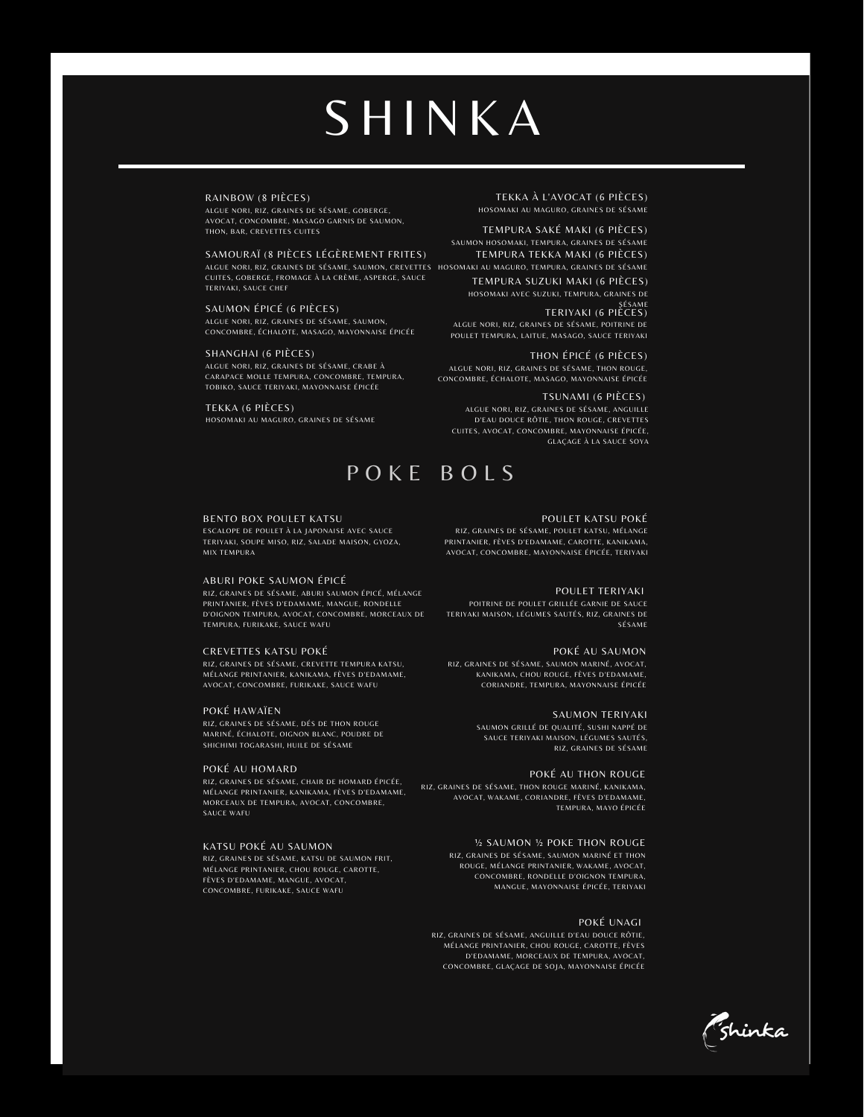# **SHINKA**

#### RAINBOW (8 PIÈCES)

ALGUE NORI, RIZ, GRAINES DE SÉSAME, GOBERGE, AVOCAT, CONCOMBRE, MASAGO GARNIS DE SAUMON, THON, BAR, CREVETTES CUITES

ALGUE NORI, RIZ, GRAINES DE SESAME, SAUMON, CREVETTES HOSOMAKI AU MAGURO, TEMPURA, GRAINES DE SESAME SAMOURAÏ (8 PIÈCES LÉGÈREMENT FRITES) CUITES, GOBERGE, FROMAGE À LA CRÈME, ASPERGE, SAUCE TERIYAKI, SAUCE CHEF

SAUMON ÉPICÉ (6 PIÈCES) ALGUE NORI, RIZ, GRAINES DE SÉSAME, SAUMON, CONCOMBRE, ÉCHALOTE, MASAGO, MAYONNAISE ÉPICÉE

SHANGHAI (6 PIÈCES) ALGUE NORI, RIZ, GRAINES DE SÉSAME, CRABE À CARAPACE MOLLE TEMPURA, CONCOMBRE, TEMPURA, TOBIKO, SAUCE TERIYAKI, MAYONNAISE ÉPICÉE

TEKKA (6 PIÈCES) HOSOMAKI AU MAGURO, GRAINES DE SÉSAME

## P O K E B O L S

#### BENTO BOX POULET KATSU

ESCALOPE DE POULET À LA JAPONAISE AVEC SAUCE TERIYAKI, SOUPE MISO, RIZ, SALADE MAISON, GYOZA, MIX TEMPURA

#### ABURI POKE SAUMON ÉPICÉ

RIZ, GRAINES DE SÉSAME, ABURI SAUMON ÉPICÉ, MÉLANGE PRINTANIER, FÈVES D'EDAMAME, MANGUE, RONDELLE D'OIGNON TEMPURA, AVOCAT, CONCOMBRE, MORCEAUX DE TEMPURA, FURIKAKE, SAUCE WAFU

#### CREVETTES KATSU POKÉ

RIZ, GRAINES DE SÉSAME, CREVETTE TEMPURA KATSU, MÉLANGE PRINTANIER, KANIKAMA, FÈVES D'EDAMAME, AVOCAT, CONCOMBRE, FURIKAKE, SAUCE WAFU

#### POKÉ HAWAÏEN

RIZ, GRAINES DE SÉSAME, DÉS DE THON ROUGE MARINÉ, ÉCHALOTE, OIGNON BLANC, POUDRE DE SHICHIMI TOGARASHI, HUILE DE SÉSAME

#### POKÉ AU HOMARD

RIZ, GRAINES DE SÉSAME, CHAIR DE HOMARD ÉPICÉE, MÉLANGE PRINTANIER, KANIKAMA, FÈVES D'EDAMAME, MORCEAUX DE TEMPURA, AVOCAT, CONCOMBRE, SAUCE WAFU

#### KATSU POKÉ AU SAUMON

RIZ, GRAINES DE SÉSAME, KATSU DE SAUMON FRIT MÉLANGE PRINTANIER, CHOU ROUGE, CAROTTE, FÈVES D'EDAMAME, MANGUE, AVOCAT, CONCOMBRE, FURIKAKE, SAUCE WAFU

TEKKA À L'AVOCAT (6 PIÈCES) HOSOMAKI AU MAGURO, GRAINES DE SÉSAME

TEMPURA SAKÉ MAKI (6 PIÈCES) SAUMON HOSOMAKI, TEMPURA, GRAINES DE SÉSAME TEMPURA TEKKA MAKI (6 PIÈCES)

TEMPURA SUZUKI MAKI (6 PIÈCES) HOSOMAKI AVEC SUZUKI, TEMPURA, GRAINES DE

TERIYAKI (6 PIÈCES) ALGUE NORI, RIZ, GRAINES DE SÉSAME, POITRINE DE POULET TEMPURA, LAITUE, MASAGO, SAUCE TERIYAKI

THON ÉPICÉ (6 PIÈCES) ALGUE NORI, RIZ, GRAINES DE SÉSAME, THON ROUGE, CONCOMBRE, ÉCHALOTE, MASAGO, MAYONNAISE ÉPICÉE

TSUNAMI (6 PIÈCES) ALGUE NORI, RIZ, GRAINES DE SÉSAME, ANGUILLE D'EAU DOUCE RÔTIE, THON ROUGE, CREVETTES CUITES, AVOCAT, CONCOMBRE, MAYONNAISE ÉPICÉE, GLAÇAGE À LA SAUCE SOYA

#### POULET KATSU POKÉ

RIZ, GRAINES DE SÉSAME, POULET KATSU, MÉLANGE PRINTANIER, FÈVES D'EDAMAME, CAROTTE, KANIKAMA, AVOCAT, CONCOMBRE, MAYONNAISE ÉPICÉE, TERIYAKI

#### POULET TERIYAKI

POITRINE DE POULET GRILLÉE GARNIE DE SAUCE TERIYAKI MAISON, LÉGUMES SAUTÉS, RIZ, GRAINES DE SÉSAME

#### POKÉ AU SAUMON

RIZ, GRAINES DE SÉSAME, SAUMON MARINÉ, AVOCAT, KANIKAMA, CHOU ROUGE, FÈVES D'EDAMAME, CORIANDRE, TEMPURA, MAYONNAISE ÉPICÉE

#### SAUMON TERIYAKI

SAUMON GRILLÉ DE QUALITÉ, SUSHI NAPPÉ DE SAUCE TERIYAKI MAISON, LÉGUMES SAUTÉS, RIZ, GRAINES DE SÉSAME

#### POKÉ AU THON ROUGE

RIZ, GRAINES DE SÉSAME, THON ROUGE MARINÉ, KANIKAMA, AVOCAT, WAKAME, CORIANDRE, FÈVES D'EDAMAME, TEMPURA, MAYO ÉPICÉE

> ½ SAUMON ½ POKE THON ROUGE RIZ, GRAINES DE SÉSAME, SAUMON MARINÉ ET THON ROUGE, MÉLANGE PRINTANIER, WAKAME, AVOCAT, CONCOMBRE, RONDELLE D'OIGNON TEMPURA, MANGUE, MAYONNAISE ÉPICÉE, TERIYAKI

#### POKÉ UNAGI

RIZ, GRAINES DE SÉSAME, ANGUILLE D'EAU DOUCE RÔTIE, MÉLANGE PRINTANIER, CHOU ROUGE, CAROTTE, FÈVES D'EDAMAME, MORCEAUX DE TEMPURA, AVOCAT, CONCOMBRE, GLAÇAGE DE SOJA, MAYONNAISE ÉPICÉE

<sup>7</sup>shinka